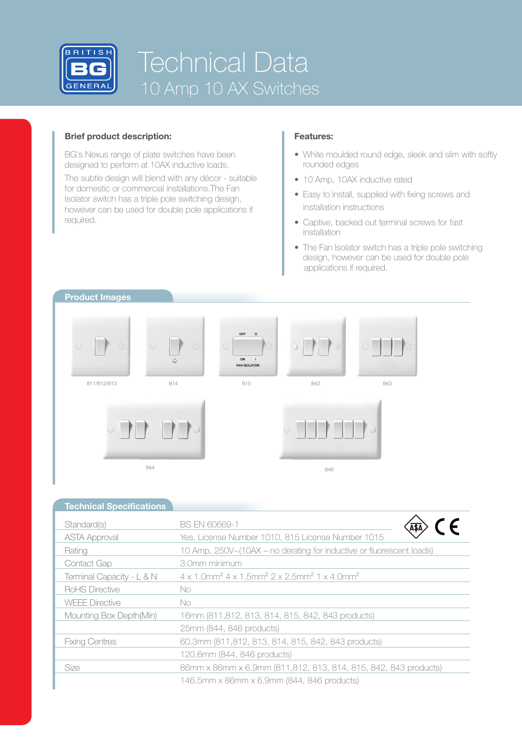

# Technical Data 10 Amp 10 AX Switches

## **Brief product description: Features:**

BG's Nexus range of plate switches have been designed to perform at 10AX inductive loads.

The subtle design will blend with any décor - suitable for domestic or commercial installations.The Fan Isolator switch has a triple pole switching design, however can be used for double pole applications if required.

- White moulded round edge, sleek and slim with softly rounded edges
- 10 Amp, 10AX inductive rated
- Easy to install, supplied with fixing screws and installation instructions
- Captive, backed out terminal screws for fast installation
- The Fan Isolator switch has a triple pole switching design, however can be used for double pole applications if required.



| <b>BS EN 60669-1</b>                                                                                                        |
|-----------------------------------------------------------------------------------------------------------------------------|
| Yes, License Number 1010, 815 License Number 1015                                                                           |
| 10 Amp, 250V~(10AX – no derating for inductive or fluorescent loads)                                                        |
| 3.0mm minimum                                                                                                               |
| $4 \times 1.0$ mm <sup>2</sup> $4 \times 1.5$ mm <sup>2</sup> $2 \times 2.5$ mm <sup>2</sup> $1 \times 4.0$ mm <sup>2</sup> |
| No                                                                                                                          |
| No                                                                                                                          |
| 16mm (811,812, 813, 814, 815, 842, 843 products)                                                                            |
| 25mm (844, 846 products)                                                                                                    |
| 60.3mm (811,812, 813, 814, 815, 842, 843 products)                                                                          |
| 120.6mm (844, 846 products)                                                                                                 |
| 86mm x 86mm x 6.9mm (811,812, 813, 814, 815, 842, 843 products)                                                             |
| 146.5mm x 86mm x 6.9mm (844, 846 products)                                                                                  |
|                                                                                                                             |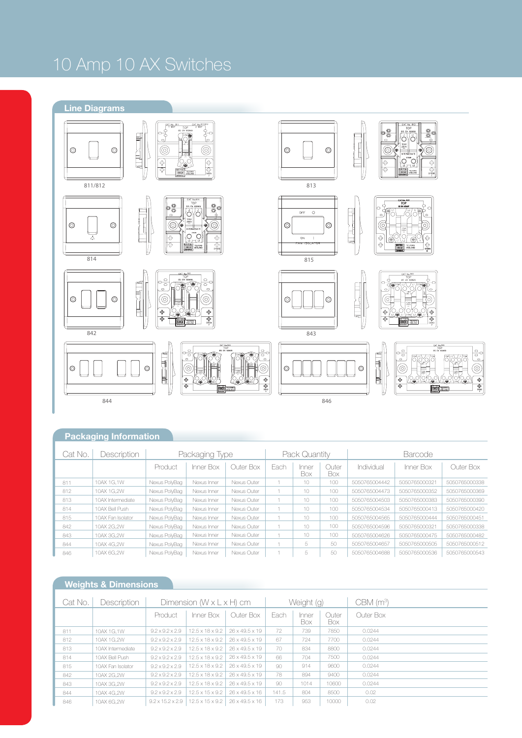## 10 Amp 10 AX Switches



### **Packaging Information**

| Cat No. | Description       | Packaging Type |             |             | Pack Quantity |              |              | <b>Barcode</b> |               |               |
|---------|-------------------|----------------|-------------|-------------|---------------|--------------|--------------|----------------|---------------|---------------|
|         |                   | Product        | Inner Box   | Outer Box   | Each          | Inner<br>Box | Outer<br>Box | Individual     | Inner Box     | Outer Box     |
| 811     | 10AX 1G.1W        | Nexus PolyBag  | Nexus Inner | Nexus Outer |               | 10           | 100          | 5050765004442  | 5050765000321 | 5050765000338 |
| 812     | 10AX 1G.2W        | Nexus PolyBag  | Nexus Inner | Nexus Outer |               | 10           | 100          | 5050765004473  | 5050765000352 | 5050765000369 |
| 813     | 10AX Intermediate | Nexus PolyBag  | Nexus Inner | Nexus Outer |               | 10           | 100          | 5050765004503  | 5050765000383 | 5050765000390 |
| 814     | 10AX Bell Push    | Nexus PolyBag  | Nexus Inner | Nexus Outer |               | 10           | 100          | 5050765004534  | 5050765000413 | 5050765000420 |
| 815     | 10AX Fan Isolator | Nexus PolyBag  | Nexus Inner | Nexus Outer |               | 10           | 100          | 5050765004565  | 5050765000444 | 5050765000451 |
| 842     | 10AX 2G.2W        | Nexus PolyBag  | Nexus Inner | Nexus Outer |               | 10           | 100          | 5050765004596  | 5050765000321 | 5050765000338 |
| 843     | 10AX 3G.2W        | Nexus PolyBag  | Nexus Inner | Nexus Outer |               | 10           | 100          | 5050765004626  | 5050765000475 | 5050765000482 |
| 844     | 10AX 4G.2W        | Nexus PolyBag  | Nexus Inner | Nexus Outer |               | 5            | 50           | 5050765004657  | 5050765000505 | 5050765000512 |
| 846     | 10AX 6G.2W        | Nexus PolyBag  | Nexus Inner | Nexus Outer |               | 5            | 50           | 5050765004688  | 5050765000536 | 5050765000543 |

## **Weights & Dimensions**

| Cat No. | Description       | Dimension $(W \times L \times H)$ cm |                             |                            | Weight (g) |              |              | CBM (m <sup>3</sup> ) |
|---------|-------------------|--------------------------------------|-----------------------------|----------------------------|------------|--------------|--------------|-----------------------|
|         |                   | Product                              | Inner Box                   | Outer Box                  | Each       | Inner<br>Box | Outer<br>Box | Outer Box             |
| 811     | 10AX 1G.1W        | $9.2 \times 9.2 \times 2.9$          | $12.5 \times 18 \times 9.2$ | 26 x 49.5 x 19             | 72         | 739          | 7850         | 0.0244                |
| 812     | 10AX 1G.2W        | $9.2 \times 9.2 \times 2.9$          | $12.5 \times 18 \times 9.2$ | 26 x 49.5 x 19             | 67         | 724          | 7700         | 0.0244                |
| 813     | 10AX Intermediate | $9.2 \times 9.2 \times 2.9$          | $12.5 \times 18 \times 9.2$ | 26 x 49.5 x 19             | 70         | 834          | 8800         | 0.0244                |
| 814     | 10AX Bell Push    | $9.2 \times 9.2 \times 2.9$          | $12.5 \times 18 \times 9.2$ | 26 x 49.5 x 19             | 66         | 704          | 7500         | 0.0244                |
| 815     | 10AX Fan Isolator | $9.2 \times 9.2 \times 2.9$          | $12.5 \times 18 \times 9.2$ | $26 \times 49.5 \times 19$ | 90         | 914          | 9600         | 0.0244                |
| 842     | 10AX 2G.2W        | $9.2 \times 9.2 \times 2.9$          | $12.5 \times 18 \times 9.2$ | 26 x 49.5 x 19             | 78         | 894          | 9400         | 0.0244                |
| 843     | 10AX 3G.2W        | $9.2 \times 9.2 \times 2.9$          | $12.5 \times 18 \times 9.2$ | 26 x 49.5 x 19             | 90         | 1014         | 10600        | 0.0244                |
| 844     | 10AX 4G.2W        | $9.2 \times 9.2 \times 2.9$          | $12.5 \times 15 \times 9.2$ | 26 x 49.5 x 16             | 141.5      | 804          | 8500         | 0.02                  |
| 846     | 10AX 6G.2W        | $9.2 \times 15.2 \times 2.9$         | $12.5 \times 15 \times 9.2$ | 26 x 49.5 x 16             | 173        | 953          | 10000        | 0.02                  |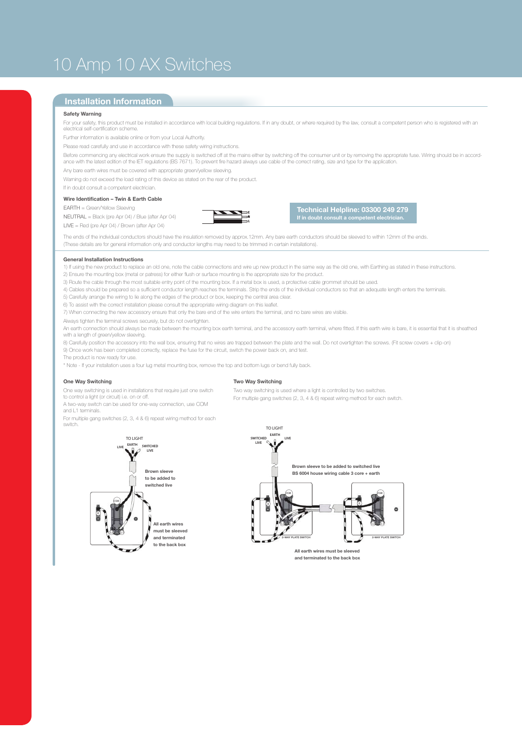## 10 Amp 10 AX Switches

### **Installation Information**

#### **Safety Warning**

For your safety, this product must be installed in accordance with local building regulations. If in any doubt, or where required by the law, consult a competent person who is registered with an electrical self-certification scheme.

Further information is available online or from your Local Authority.

Please read carefully and use in accordance with these safety wiring instructions.

Before commencing any electrical work ensure the supply is switched off at the mains either by switching off the consumer unit or by removing the appropriate fuse. Wiring should be in accordance with the latest edition of the IET regulations (BS 7671). To prevent fire hazard always use cable of the correct rating, size and type for the application.

Any bare earth wires must be covered with appropriate green/yellow sleeving.

Warning do not exceed the load rating of this device as stated on the rear of the product.

If in doubt consult a competent electrician.

#### **Wire Identification – Twin & Earth Cable**

#### EARTH = Green/Yellow Sleeving

NEUTRAL = Black (pre Apr 04) / Blue (after Apr 04) LIVE = Red (pre Apr 04) / Brown (after Apr 04)



**Technical Helpline: 03300 249 279 If in doubt consult a competent electrician.**

The ends of the individual conductors should have the insulation removed by approx.12mm. Any bare earth conductors should be sleeved to within 12mm of the ends. (These details are for general information only and conductor lengths may need to be trimmed in certain installations).

#### **General Installation Instructions**

1) If using the new product to replace an old one, note the cable connections and wire up new product in the same way as the old one, with Earthing as stated in these instructions. 2) Ensure the mounting box (metal or patress) for either flush or surface mounting is the appropriate size for the product.

3) Route the cable through the most suitable entry point of the mounting box. If a metal box is used, a protective cable grommet should be used.

- 4) Cables should be prepared so a sufficient conductor length reaches the terminals. Strip the ends of the individual conductors so that an adequate length enters the terminals.
- 5) Carefully arrange the wiring to lie along the edges of the product or box, keeping the central area clear.

6) To assist with the correct installation please consult the appropriate wiring diagram on this leaflet.

7) When connecting the new accessory ensure that only the bare end of the wire enters the terminal, and no bare wires are visible.

Always tighten the terminal screws securely, but do not overtighten.

An earth connection should always be made between the mounting box earth terminal, and the accessory earth terminal, where fitted. If this earth wire is bare, it is essential that it is sheathed with a length of green/yellow sleeving.

8) Carefully position the accessory into the wall box, ensuring that no wires are trapped between the plate and the wall. Do not overtighten the screws. (Fit screw covers + clip-on)

9) Once work has been completed correctly, replace the fuse for the circuit, switch the power back on, and test.

The product is now ready for use.

\* Note - If your installation uses a four lug metal mounting box, remove the top and bottom lugs or bend fully back.

#### **One Way Switching**

One way switching is used in installations that require just one switch to control a light (or circuit) i.e. on or off.

A two-way switch can be used for one-way connection, use COM and L1 terminals.

For multiple gang switches (2, 3, 4 & 6) repeat wiring method for each switch.

> TO LIGHT TO LIGHT **LIVE**<br>LIVE LIVE<br>LIVE **EARTH** EARTH SWITCHED **SWITCHED** LIVE **LIVE** LIVE **Brown sleeve to be added to switched live** COM E **All earth wires must be sleeved** L2 L1 **and terminated to the back box** . . .

#### **Two Way Switching**

Two way switching is used where a light is controlled by two switches. For multiple gang switches (2, 3, 4 & 6) repeat wiring method for each switch.